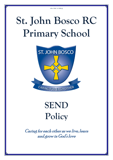# **St. John Bosco RC Primary School**



# **SEND Policy**

Caring for each other as we live, learn and grow in God's love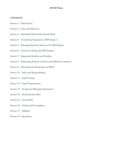#### **CONTENTS**

- Section 1 Introduction
- Section 2 Aims and Objectives
- Section 3 Identifying Special Educational Needs
- Section 4 A Graduated Approach to SEN Support
- Section 5 Managing Students' Needs on the SEN Register
- Section 6 Criteria for Exiting the SEN Register
- Section 7 Supporting Students and Families
- Section 8 Supporting Students at School with Medical Conditions
- Section 9 Monitoring and Evaluation of SEND
- Section 10 Roles and Responsibilities
- Section 11 Staff Training
- Section 12 Equal Opportunities
- Section 13 Storing and Managing Information
- Section 14 Reviewing the Policy
- Section 15 Accessibility
- Section 16 Dealing with Complaints
- Section 17 Bullying
- Section 18 Appendices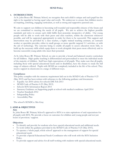#### **1. INTRODUCTION**

At St. John Bosco RC Primary School, we recognise that each child is unique and each pupil has the right to be regarded as having equal value and worth. We endeavour to ensure that children receive an inspiring, enriching, engaging curriculum, as well as strong and supportive pastoral care.

We aim to support our children in becoming well rounded and responsible citizens of the future and we are committed to meeting the needs of all pupils. We aim to achieve the highest possible standards and strive to ensure each child fulfils their potential, irrespective of ability. Our young people will be able to work with their peers and class teachers, within the classroom whenever possible, and will be supported appropriately in order for them to be successful. This support and intervention may be provided by a class teacher, a highly trained teaching assistant, an outreach worker or specialist provider, either in small groups or more specific targeted 1:1 activities, or with the aid of technology. The outcome being to enable all pupils to access education more fully, to build up the necessary skills which equip them to work alongside their peers more effectively and to become successful young adults who meet their potential.

At St. John Bosco RC Primary School, we aim to provide a broad and balanced creative curriculum for all children. High quality teaching is differentiated and personalised to meet the individual needs of the majority of children. Staff have high expectations of all pupils. They make sure that all pupils, including those with special educational needs and/or disabilities, have the chance to study the full range of subjects offered. Pupils with SEND are completely included in the life of his school. They receive support in classrooms in a range of different ways.

#### **Compliance**

This policy complies with the statutory requirement laid out in the SEND Code of Practice 0-25 (May 2015) and has been written with reference to the following guidance and documents.

- Equality Act 2010: advice for schools DfE Feb 2013
- SEND Code of Practice 0-25 (May 2015)
- Schools SEN Information Report 2015
- Statutory Guidance on Supporting pupils at school with medical conditions April 2014
- Teacher Standards 2012
- Safeguarding Policy
- Accessibility Plan

The school's SENDCo: Mrs Gray

#### **2. AIMS & OBJECTIVES**

#### **Aim**

St. John Bosco RC Primary School's approach to SEN is to raise aspirations of and expectations for all pupils with SEN. We provide a focus on outcomes for children and young people and not just hours of provision/ support.

#### **Objectives**

- To identify and provide for students who have special educational needs and additional needs.
- To work within the guidance provided in the SEND Code of Practice 0-25 (May 2015).
- To operate a 'whole pupil, whole school' approach to the management of support for special educational needs
- To provide a Special Educational Needs Coordinator who will work with the SEN Inclusion Policy.
- To provide support and advice for all staff working with students with special educational needs.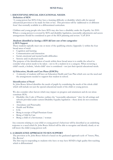# 3. **IDENTIFYING SPECIAL EDUCATIONAL NEEDS**.

#### **Definition of SEN**

'A young person has SEN if they have a learning difficulty or disability which calls for special educational provision to be made for him or her. This provision will be 'additional to or different from' that normally available in a differentiated curriculum.

Children and young people who have SEN may also have a disability under the Equality Act 2010. Where a young person is covered by SEN and disability legislation, reasonable adjustments and access arrangements should be considered as part of the SEN planning and review.' CoP 2014

# Students identified as having a SEN fall into one of two categories:

#### **i) SEN Support**

These students typically meet one or more of the qualifying criteria (Appendix 1) within the four broad areas of need:

- Cognition and learning
- Communication and interaction
- Social, emotional and mental health difficulties
- Sensory and/or physical needs

The purpose of the identification of needs within these broad areas is to enable the school to consider what action needs to be taken – not to fit a student in to a category. When reviewing a child's needs, a holistic, 'whole-child' view is considered – not just their special educational needs.

#### **ii) Education, Health and Care Plans (EHCPs)**

 A minority of students will have an Education Health and Care Plan which sets out the need and the arrangements needed to support that student in school.

#### **Identification of Need**

St. John Bosco School identifies the needs of pupils by considering the needs of the whole child which will include not just the special educational needs of the child or young person.

We also consider other factors which may impact on progress and attainment and do not alone constitute SEN;

- Disability (the Code of Practice outlines the "reasonable adjustment " duty for all settings and schools provided under current Disability Equality legislation – these alone do not constitute SEN)
- Attendance and Punctuality
- Health and Welfare
- EAL
- Being in receipt of Pupil Premium Grant
- Being a Child In Care
- Being a child of a Serviceman / woman

Any concerns relating to your child or young person's behaviour will be described as an underlying response to a need which St. John Bosco School will be able to recognise and identify clearly as we will know the child/young person well.

# **4. A GRADUATED APPROACH TO SEN SUPPORT**

The provision at St. John Bosco School is based on the graduated approach cycle of 'Assess, Plan, Do, Review'.

The first step in responding to students who have or may have SEND is high quality-first teaching which is differentiated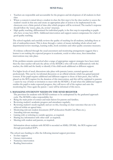- Teachers are responsible and accountable for the progress and development of all students in their class
- Where a concern is raised about a student in class the first step is for the class teacher to assess the student's needs in that area and create an appropriate plan of action to be implemented in the classroom over a finite period of time after which progress will be reviewed. The teacher's response should follow the 'assess, plan, do, review' structure.
- High quality teaching, differentiated for individual pupils, is the first step in responding to pupils who have or may have SEN. Additional intervention and support cannot compensate for a lack of good quality teaching.

The school regularly and carefully reviews the quality of teaching for all students, including those at risk of underachievement. This is done through a variety of means including whole school and departmental review meetings, learning walks, book scrutinies and other quality assurance measures.

If evidence collected through the usual assessment and monitoring arrangements suggests that a learner is not making the expected progress in academic, social or other areas, then immediate interventions may take place.

If the problem remains unresolved after a range of appropriate support strategies have been tried, then the class teacher will seek the advice of the SENDCo who will work collaboratively with the teacher, the child and the family to identify if the child needs additional or different support.

For higher levels of need, discussions take place with parents/carers, external agencies and professionals. This can be via informal discussion or an official referral, which has gained parental consent. If the pupil requires additional and different support to those of their peers, they will be placed on the SEN register for the duration of this intervention, and this will be explained to parents / carers by way of letter or invitation to meet with the SENDCo. If and when this additional support enables the pupil to make expected progress, they will move off of the register and onto the monitoring list. Once again the parent / carer will be informed of this move.

#### **5. MANAGING STUDENTS' NEEDS ON THE SEND REGISTER**

The provision for students with SEND continues to be underpinned by the graduated approach cycle. The SENDCo takes responsibility for:

- Being the main point of contact and main liaison for parents and families;
- Reviewing student's academic progress and attendance regularly;
- Reviewing student's needs regularly and act on this, focusing on clear outcomes that are to be achieved within an agreed time;
- Monitoring relevant student documents (IEP's,Education Health Care Plans etc.);
- Attending relevant meetings;
- Liaising with or referring to outside agencies, as required;
- Sharing key information with other staff as required;
- Meeting with student and parents, as required;

Information about students with SEND is recorded on SIMS, CPOMS, the SEN register and through personalised IEP's.

The school uses funding to offer the following internal support provision:

- In-class support
- Literacy intervention
- Numeracy intervention
- Reading Intervention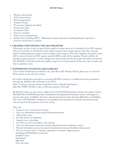- Phonics Intervention
- SALT interventions
- SEAL programmes
- Nurture Groups
- IT resources (laptops & tablets)
- Homework Clubs
- Lunchtime Clubs
- School Councillor
- Exam access arrangements
- Quality First Teaching (QFT) Mainstream teachers provide an initial graduated response to concerns raised about a student.

#### **6. CRITERIA FOR EXITING THE SEN REGISTER**

Following a review, it may be agreed that a pupil no longer needs to be included on the SEN register. This may be based on information from subject teachers and outside agencies that show that the pupil is making adequate progress and no longer needs support. When this happens, the pupil's name will be removed from the SEN register and the SIMS record will be updated. Parents will also be informed and reassured as to what changes have been made and that the pupil will still be monitored. The SENDCO will still monitor the pupil's progress for a short period of time after this to make sure that no problems arise.

#### **7. SUPPORTING STUDENTS AND FAMILIES**

**i.** For further information on SEND at St. john Bosco RC Primary School, please see our school's SEN section on the school's website.

**ii.** Further information and advice on meeting SEND in schools is available from the government through the SEND Code of Practice 0-25 (2015). https://www.gov.uk/government/uploads/system/uploads/attachment\_ data/file/398815/SEND\_Code\_of\_Practice\_January\_2015.pdf

**iii.** Parents/carers can also receive support from the SEND Information, advice and support service (SENDIASS). SENDIASS provides confidential and impartial information, advice and support to parents and carers of children who have special educational needs, learning difficulties or disabilities. The team of SENDIASS coordinators are qualified and experienced in special educational needs, and are based at the locations across the county.

They can:

- Listen to your concerns and worries:
- Give you information about special educational needs;
- Offer home visits;

0191 561 5643

- Provide advice by telephone;
- Support you in meetings;
- Go with you and your child to visit schools;
- Give you information about the special educational needs mediation service;
- Provide information about the special educational needs and disability tribunal; and
- Put you in touch with a voluntary organisation or parent support group. Sunderland SENDIASS are based at Sandhill Centre Sunderland SR3 4EN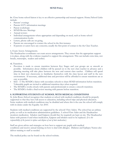**iv.** Close home-school liaison is key to an effective partnership and mutual support. Home/School Links include:

- Parents' evenings
- Parents SAT's information meetings
- Parent workshops
- SEND Review Meetings
- Annual reviews
- Individual arrangements where appropriate and depending on need, such as home school communication books
- Letters, phone calls are on-going,
- Parents are encouraged to contact the school in the first instance
- If parents or carers have any concerns; usually the first point of contact is the the Class Teacher.

#### **v.** Exam Access Arrangements.

The Headteacher coordinates our exam access arrangements. They ensure that the appropriate support is in place, along with the evidence required to support the arrangement. This can include extra time, rest breaks, transcripts, readers and scribes.

**vi.** Transition.

- Provision is made to ensure transition between Key Stages and year groups are as smooth as possible. Information about children will be passed on to the new class teacher in advance and a planning meeting will take place between the new and current class teacher. Children will spend time in their new classrooms to familiarise themselves with the class layout and staff in the new environment. If necessary, additional time and provision will be afforded to ensure transitions are as easy as possible.
- KS2 3: The SENDCo liaises with secondary schools to share SEND information before transition. Vulnerable pupils are invited to additional transition days when required.
- The SENDCo works closely with parents and professionals to ensure a smooth transition.
- The SENDCo holds a final review meeting with parents before transition.

#### **8. SUPPORTING STUDENTS AT SCHOOL WITH MEDICAL CONDITIONS**

St. John Bosco School recognises that students at school with medical conditions should be properly supported so that they have full access to education, including school trips and physical education. Some students with medical conditions may be disabled and where this is the case the school will comply with its duties under the Equality Act 2010.

Students with medical conditions are supported by the schools' First Aiders. The school has an asthma policy as well as its medication administration guidelines. A school First Aider and the Headteacher monitors medication. Inhalers (and Epipens should they be required) are kept on site. The Headteacher liaises with parents if and when medication, Epipens and inhalers need to be replaced. (*It is the responsibility of the parent to replace and dispose of out of date medication*.)

Staff are given advice and strategies on how best to support any pupils with medical conditions and receive annual training on how to deal with allergies. Diabetes and Epilepsy Nurses also deliver training to staff as needed.

The medical policy can be found on the school website.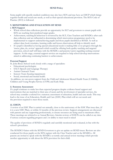Some pupils with specific medical conditions may also have SEN and may have an EHCP which brings together health and social care needs, as well as their special educational provision. The SEN Code of Practice (2015) is followed.

# **9. MONITORING AND EVALUATION OF SEND**

#### **i. SEN Support**

- Whole school data collections provide an opportunity for SLT and governors to ensure pupils with SEN are reaching their predicted target grades.
- Achievement, teaching & behaviour is reviewed by the SLT, Class Teachers and SENDCo after each data collection and are influential in determining which intervention programmes need to be implemented to support underachieving pupils and those pupils identified as SEND. As well as subject data; book scrutinies, learning walks and lesson observations all help to identify need.
- If a pupil is identified as having special educational needs is making little or no progress through the 'assess, plan, do, review' approach which would be offering both quality teaching and targeted provision, school staff will liaise with the SENDCo and parents/carers regarding seeking external support. At this stage, external support services are required to help school develop interventions aimed at addressing continuing barriers to achievement.

#### **External Support**

St. John Bosco School work closely with a range of specialists:

- Educational psychologist;
- SALT (Speech and Language Therapy)
- Autism Outreach Team
- Sensory Team (hearing impairment)
- Social, emotional and mental health.

In addition, we can access support from the Child and Adolescent Mental Health Team (CAMHS), Children and Young Peoples Service (CYPS) and Early Help.

#### **ii. Statutory Assessment**

If a pupil continues to make less than expected progress despite evidence-based support and interventions that are matched to their area of need, and the involvement of specialist services, the school may consider a referral for a statutory assessment of education, health and care needs. This may lead to the issue of an Education, Health and Care (EHC) Plan which will set out needs and the provision required to meet those needs.

#### **iii. EHCPs**

A review of an EHC Plan is carried out annually, close to the anniversary of the EHC Plan issue date, (if it is a new EHC Plan), or within 12 months of the previous review. Support arrangements are discussed with parents and any supporting professionals, to ensure resources are being used to maximum effect. These meetings are referred to as Annual Reviews. Interim reviews of EHCPs can be called at any time if serious concern regarding progress and /or ability to meet need is raised

The quality of provision of SEND is regularly and carefully monitored and evaluated, in line with the school's procedures.

The SENDCO liaises with the SEND Governors to give an update on SEND issues. Reviews are also conducted for those pupils on the SEN register with the Class Teacher and or the SENDCo. All parents are invited to speak with the SENDCo at termly and annual review meetings which provide another opportunity to talk about the SEN provision for their child.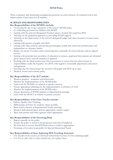These evaluation and monitoring arrangements promote an active process of continual review and improvement of provision for all students.

# **10. ROLES AND RESPONSIBILITIES**

#### **Key Responsibilities of the SENDCo include:**

- Overseeing the day-to-day operation of the school's SEND policy
- Co-ordinating provision for children with SEND
- Liaising with the relevant Designated Teacher where a looked after pupil has SEN
- Advising on the graduated approach to providing SEND support
- Advising on the deployment of the school's delegated budget and other resources to meet needs effectively
- Liaising with parents of pupils with SEN
- Liaising with other schools, educational psychologists, health and social care professionals, and independent or voluntary bodies
- Being a key point of contact with external agencies, especially the local authority and its support services
- Liaising with potential next providers of education to ensure a pupil and their parents are informed about options and a smooth transition is planned
- Working with the Head teacher and school governors to ensure that the school meets its responsibilities under the Equality Act (2010) with regard to reasonable adjustments and access arrangements
- Ensuring that the school keeps the records of all pupils with SEN up to date
- Monitor, review and evaluate policy

# **Key Responsibilities of the SLT include:**

- Monitor progress academic and behavioural
- Monitor the implementation of the SEND policy
- Liaise with the SENDCo in relation to parent concerns
- Ensure appropriate planning for the implementation of schemes of work
- Monitor the implementation of the SEND policy
- Ensure discussion of SEND students at departmental meetings
- Liaise with the SENCo in relation to parent concerns

# **Key Responsibilities of the Class Teacher include:**

- Deliver Quality First Teaching
- Differentiate activities for students where possible
- Raise initial concerns at departmental/faculty meetings
- Monitor individual progress and set appropriate student targets
- Meet with parents and other agencies when appropriate

# **Key Responsibilities of the Governing Body**

- Report annually on the policy
- Ensure the policy is stated in the prospectus and school handbook
- Do their best to ensure that SEND provision is made as appropriate
- Nominate a Governor responsible for Special Educational Needs

#### **Key Responsibilities of those deploying SEN Teaching Assistants**

- TAs should not be used as an informal instructional resource for low-attaining pupils
- Use TAs to add value to what teachers do, not replace them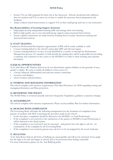- Ensure TAs are fully prepared for their role in the classroom Schools should provide sufficient time for teachers and TAs to meet out of class to enable the necessary lesson preparation and feedback.
- Adopt evidence-based interventions to support TAs in their small group and one-to-one instruction

#### **Key Responsibilities of Learning Support Assistants**

- Help pupils develop independent learning skills and manage their own learning
- Deliver high-quality one-to-one and small group support using structured interventions
- Ensure explicit connections are made between learning from everyday classroom teaching and structured interventions

#### **11. STAFF TRAINING**

Continuous Professional Development opportunities (CPD) will be made available to staff.

- Courses/training linked to the school's action plan (SIP) and relevant targets.
- Courses/training linked to an area of need identified by a teacher or through the Performance Management process. If a member of staff attends the training they will be responsible for providing a summary and evaluation of the course to the SENDCO in order to share learning and expertise developed.

#### **12.EQUAL OPPORTUNITIES**

At St. John Bosco RC Primary School we do not discriminate against children on the grounds of race, gender or ability. We seek to enable all children to have access to:

- a broad, balanced, differentiated and relevant creative curriculum.
- resources and displays.
- school routines and procedures.

#### **13. STORING AND MANAGING INFORMATION**

The school complies with statutory requirements (The Data Protection Act 2018) regarding storing and managing information and Data protection.

#### **14. REVIEWING THE POLICY**

The SEND Policy is reviewed annually and more frequently if legislation, guidance or practice changes.

#### **15. ACCESSIBILITY**

The school complies with statutory requirements. Please seeAccessibility Plan for further information.

#### **16. DEALING WITH COMPLAINTS**

The Governing Body will make the following arrangements for the treatment of complaints from parents of students with SEN concerning the provision made by the school:

- In the first place, complaints should be directed to the SENDCo or Lead Professional.
- If the complaint is not resolved to the satisfaction of the parent or SENDCo/Lead Professional, it will be directed to the Head teacher.
- If the complaint is not resolved it may be necessary and parents have the right to ask for an examination of the complaint by the Governing Body.
- If the complaint is not resolved, parents may ask for it to be investigated by the Local Authority.

#### **17. BULLYING**

At St. John Bosco School, all forms of bullying are unacceptable and will not be tolerated. Every pupil has the right to be safe and happy in school, and to be protected when feeling vulnerable. For more information, please see the Anti-Bullying policy.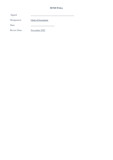| Signed:             |                           |  |
|---------------------|---------------------------|--|
| Designation:        | <b>Chair of Governors</b> |  |
| Date:               |                           |  |
| <b>Review Date:</b> | November 2022             |  |